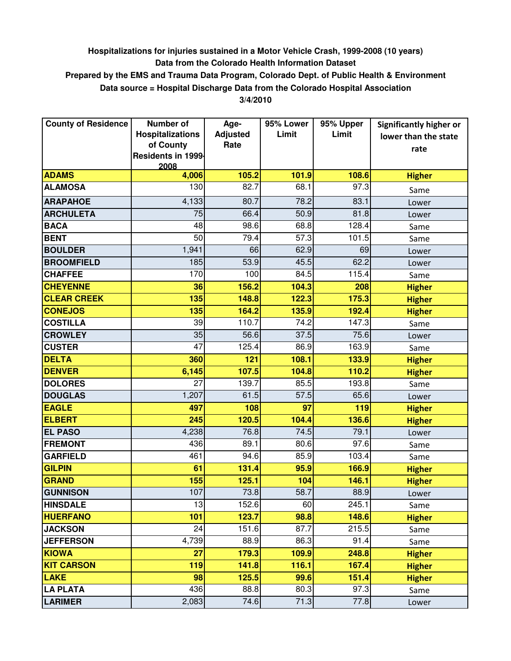## **Hospitalizations for injuries sustained in a Motor Vehicle Crash, 1999-2008 (10 years) Data from the Colorado Health Information Dataset**

## **Prepared by the EMS and Trauma Data Program, Colorado Dept. of Public Health & Environment Data source = Hospital Discharge Data from the Colorado Hospital Association**

**3/4/2010**

| <b>County of Residence</b> | <b>Number of</b>        | Age-            | 95% Lower | 95% Upper | <b>Significantly higher or</b> |
|----------------------------|-------------------------|-----------------|-----------|-----------|--------------------------------|
|                            | <b>Hospitalizations</b> | <b>Adjusted</b> | Limit     | Limit     | lower than the state           |
|                            | of County               | Rate            |           |           | rate                           |
|                            | Residents in 1999-      |                 |           |           |                                |
| <b>ADAMS</b>               | 2008<br>4,006           | 105.2           | 101.9     | 108.6     | <b>Higher</b>                  |
| <b>ALAMOSA</b>             | 130                     | 82.7            | 68.1      | 97.3      |                                |
| <b>ARAPAHOE</b>            | 4,133                   | 80.7            | 78.2      | 83.1      | Same                           |
|                            |                         |                 |           |           | Lower                          |
| <b>ARCHULETA</b>           | 75                      | 66.4            | 50.9      | 81.8      | Lower                          |
| <b>BACA</b>                | 48                      | 98.6            | 68.8      | 128.4     | Same                           |
| <b>BENT</b>                | 50                      | 79.4            | 57.3      | 101.5     | Same                           |
| <b>BOULDER</b>             | 1,941                   | 66              | 62.9      | 69        | Lower                          |
| <b>BROOMFIELD</b>          | 185                     | 53.9            | 45.5      | 62.2      | Lower                          |
| <b>CHAFFEE</b>             | 170                     | 100             | 84.5      | 115.4     | Same                           |
| <b>CHEYENNE</b>            | 36                      | 156.2           | 104.3     | 208       | <b>Higher</b>                  |
| <b>CLEAR CREEK</b>         | 135                     | 148.8           | 122.3     | 175.3     | <b>Higher</b>                  |
| <b>CONEJOS</b>             | 135                     | 164.2           | 135.9     | 192.4     | <b>Higher</b>                  |
| <b>COSTILLA</b>            | 39                      | 110.7           | 74.2      | 147.3     | Same                           |
| <b>CROWLEY</b>             | 35                      | 56.6            | 37.5      | 75.6      | Lower                          |
| <b>CUSTER</b>              | 47                      | 125.4           | 86.9      | 163.9     | Same                           |
| <b>DELTA</b>               | 360                     | 121             | 108.1     | 133.9     | <b>Higher</b>                  |
| <b>DENVER</b>              | 6,145                   | 107.5           | 104.8     | 110.2     | <b>Higher</b>                  |
| <b>DOLORES</b>             | 27                      | 139.7           | 85.5      | 193.8     | Same                           |
| <b>DOUGLAS</b>             | 1,207                   | 61.5            | 57.5      | 65.6      | Lower                          |
| <b>EAGLE</b>               | 497                     | 108             | 97        | 119       | <b>Higher</b>                  |
| <b>ELBERT</b>              | 245                     | 120.5           | 104.4     | 136.6     | <b>Higher</b>                  |
| <b>EL PASO</b>             | 4,238                   | 76.8            | 74.5      | 79.1      | Lower                          |
| <b>FREMONT</b>             | 436                     | 89.1            | 80.6      | 97.6      | Same                           |
| <b>GARFIELD</b>            | 461                     | 94.6            | 85.9      | 103.4     | Same                           |
| <b>GILPIN</b>              | 61                      | 131.4           | 95.9      | 166.9     | <b>Higher</b>                  |
| <b>GRAND</b>               | 155                     | 125.1           | 104       | 146.1     | <b>Higher</b>                  |
| <b>GUNNISON</b>            | 107                     | 73.8            | 58.7      | 88.9      | Lower                          |
| <b>HINSDALE</b>            | 13                      | 152.6           | 60        | 245.1     | Same                           |
| <b>HUERFANO</b>            | 101                     | 123.7           | 98.8      | 148.6     | <b>Higher</b>                  |
| <b>JACKSON</b>             | 24                      | 151.6           | 87.7      | 215.5     | Same                           |
| <b>JEFFERSON</b>           | 4,739                   | 88.9            | 86.3      | 91.4      | Same                           |
| <b>KIOWA</b>               | 27                      | 179.3           | 109.9     | 248.8     | <b>Higher</b>                  |
| <b>KIT CARSON</b>          | 119                     | 141.8           | 116.1     | 167.4     | <b>Higher</b>                  |
| <b>LAKE</b>                | 98                      | 125.5           | 99.6      | 151.4     | <b>Higher</b>                  |
| <b>LA PLATA</b>            | 436                     | 88.8            | 80.3      | 97.3      | Same                           |
| <b>LARIMER</b>             | 2,083                   | 74.6            | 71.3      | 77.8      | Lower                          |